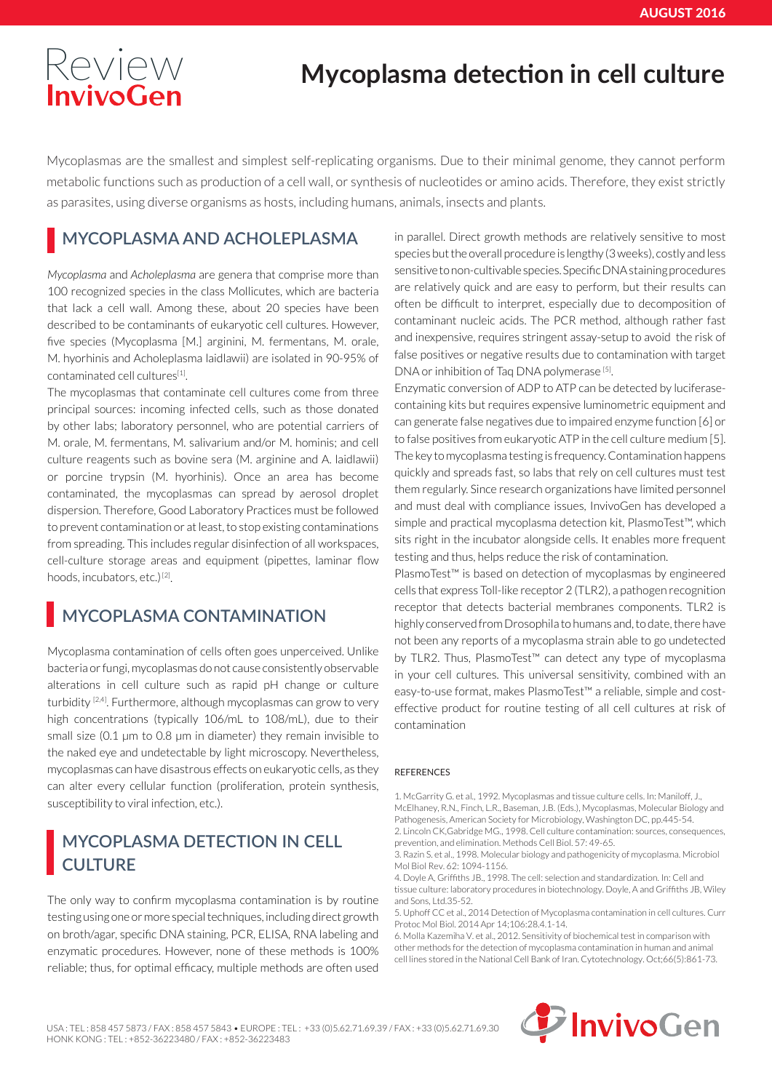## [Review](http://www.invivogen.com) **Mycoplasma detection in cell culture**

Mycoplasmas are the smallest and simplest self-replicating organisms. Due to their minimal genome, they cannot perform metabolic functions such as production of a cell wall, or synthesis of nucleotides or amino acids. Therefore, they exist strictly as parasites, using diverse organisms as hosts, including humans, animals, insects and plants.

#### **MYCOPLASMA AND ACHOLEPLASMA**

*Mycoplasma* and *Acholeplasma* are genera that comprise more than 100 recognized species in the class Mollicutes, which are bacteria that lack a cell wall. Among these, about 20 species have been described to be contaminants of eukaryotic cell cultures. However, five species (Mycoplasma [M.] arginini, M. fermentans, M. orale, M. hyorhinis and Acholeplasma laidlawii) are isolated in 90-95% of contaminated cell cultures[1].

The mycoplasmas that contaminate cell cultures come from three principal sources: incoming infected cells, such as those donated by other labs; laboratory personnel, who are potential carriers of M. orale, M. fermentans, M. salivarium and/or M. hominis; and cell culture reagents such as bovine sera (M. arginine and A. laidlawii) or porcine trypsin (M. hyorhinis). Once an area has become contaminated, the mycoplasmas can spread by aerosol droplet dispersion. Therefore, Good Laboratory Practices must be followed to prevent contamination or at least, to stop existing contaminations from spreading. This includes regular disinfection of all workspaces, cell-culture storage areas and equipment (pipettes, laminar flow hoods, incubators, etc.)<sup>[2]</sup>.

#### **MYCOPLASMA CONTAMINATION**

Mycoplasma contamination of cells often goes unperceived. Unlike bacteria or fungi, mycoplasmas do not cause consistently observable alterations in cell culture such as rapid pH change or culture turbidity <sup>[2,4]</sup>. Furthermore, although mycoplasmas can grow to very high concentrations (typically 106/mL to 108/mL), due to their small size (0.1 µm to 0.8 µm in diameter) they remain invisible to the naked eye and undetectable by light microscopy. Nevertheless, mycoplasmas can have disastrous effects on eukaryotic cells, as they can alter every cellular function (proliferation, protein synthesis, susceptibility to viral infection, etc.).

#### **MYCOPLASMA DETECTION IN CELL CULTURE**

The only way to confirm mycoplasma contamination is by routine testing using one or more special techniques, including direct growth on broth/agar, specific DNA staining, PCR, ELISA, RNA labeling and enzymatic procedures. However, none of these methods is 100% reliable; thus, for optimal efficacy, multiple methods are often used

in parallel. Direct growth methods are relatively sensitive to most species but the overall procedure is lengthy (3 weeks), costly and less sensitive to non-cultivable species. Specific DNA staining procedures are relatively quick and are easy to perform, but their results can often be difficult to interpret, especially due to decomposition of contaminant nucleic acids. The PCR method, although rather fast and inexpensive, requires stringent assay-setup to avoid the risk of false positives or negative results due to contamination with target DNA or inhibition of Taq DNA polymerase [5].

Enzymatic conversion of ADP to ATP can be detected by luciferasecontaining kits but requires expensive luminometric equipment and can generate false negatives due to impaired enzyme function [6] or to false positives from eukaryotic ATP in the cell culture medium [5]. The key to mycoplasma testing is frequency. Contamination happens quickly and spreads fast, so labs that rely on cell cultures must test them regularly. Since research organizations have limited personnel and must deal with compliance issues, InvivoGen has developed a simple and practical mycoplasma detection kit, PlasmoTest™, which sits right in the incubator alongside cells. It enables more frequent testing and thus, helps reduce the risk of contamination.

PlasmoTest™ is based on detection of mycoplasmas by engineered cells that express Toll-like receptor 2 (TLR2), a pathogen recognition receptor that detects bacterial membranes components. TLR2 is highly conserved from Drosophila to humans and, to date, there have not been any reports of a mycoplasma strain able to go undetected by TLR2. Thus, PlasmoTest™ can detect any type of mycoplasma in your cell cultures. This universal sensitivity, combined with an easy-to-use format, makes PlasmoTest™ a reliable, simple and costeffective product for routine testing of all cell cultures at risk of contamination

#### **REFERENCES**

1. McGarrity G. et al., 1992. Mycoplasmas and tissue culture cells. In: Maniloff, J., McElhaney, R.N., Finch, L.R., Baseman, J.B. (Eds.), Mycoplasmas, Molecular Biology and Pathogenesis, American Society for Microbiology, Washington DC, pp.445-54. 2. Lincoln CK,Gabridge MG., 1998. Cell culture contamination: sources, consequences, prevention, and elimination. Methods Cell Biol. 57: 49-65.

3. Razin S. et al., 1998. Molecular biology and pathogenicity of mycoplasma. Microbiol Mol Biol Rev. 62: 1094-1156.

4. Doyle A, Griffiths JB., 1998. The cell: selection and standardization. In: Cell and tissue culture: laboratory procedures in biotechnology. Doyle, A and Griffiths JB, Wiley and Sons, Ltd.35-52.

5. Uphoff CC et al., 2014 Detection of Mycoplasma contamination in cell cultures. Curr Protoc Mol Biol. 2014 Apr 14;106:28.4.1-14.

6. Molla Kazemiha V. et al., 2012. Sensitivity of biochemical test in comparison with other methods for the detection of mycoplasma contamination in human and animal cell lines stored in the National Cell Bank of Iran. Cytotechnology. Oct;66(5):861-73.